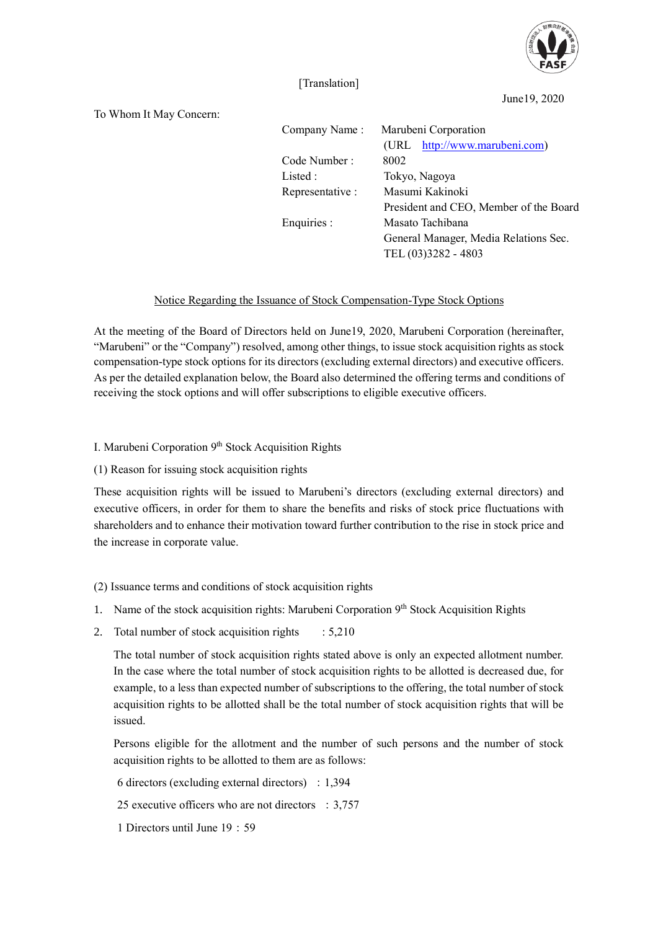

### [Translation]

June19, 2020

# To Whom It May Concern:

| Company Name:    | Marubeni Corporation                   |
|------------------|----------------------------------------|
|                  | (URL http://www.marubeni.com)          |
| Code Number:     | 8002                                   |
| Listed :         | Tokyo, Nagoya                          |
| Representative : | Masumi Kakinoki                        |
|                  | President and CEO, Member of the Board |
| Enquiries :      | Masato Tachibana                       |
|                  | General Manager, Media Relations Sec.  |
|                  | TEL (03)3282 - 4803                    |

### Notice Regarding the Issuance of Stock Compensation-Type Stock Options

At the meeting of the Board of Directors held on June19, 2020, Marubeni Corporation (hereinafter, "Marubeni" or the "Company") resolved, among other things, to issue stock acquisition rights as stock compensation-type stock options for its directors (excluding external directors) and executive officers. As per the detailed explanation below, the Board also determined the offering terms and conditions of receiving the stock options and will offer subscriptions to eligible executive officers.

### I. Marubeni Corporation 9<sup>th</sup> Stock Acquisition Rights

# (1) Reason for issuing stock acquisition rights

These acquisition rights will be issued to Marubeni's directors (excluding external directors) and executive officers, in order for them to share the benefits and risks of stock price fluctuations with shareholders and to enhance their motivation toward further contribution to the rise in stock price and the increase in corporate value.

# (2) Issuance terms and conditions of stock acquisition rights

- 1. Name of the stock acquisition rights: Marubeni Corporation 9<sup>th</sup> Stock Acquisition Rights
- 2. Total number of stock acquisition rights  $\therefore$  5,210

The total number of stock acquisition rights stated above is only an expected allotment number. In the case where the total number of stock acquisition rights to be allotted is decreased due, for example, to a less than expected number of subscriptions to the offering, the total number of stock acquisition rights to be allotted shall be the total number of stock acquisition rights that will be issued.

Persons eligible for the allotment and the number of such persons and the number of stock acquisition rights to be allotted to them are as follows:

6 directors (excluding external directors) :1,394

25 executive officers who are not directors  $\therefore$  3,757

1 Directors until June 19:59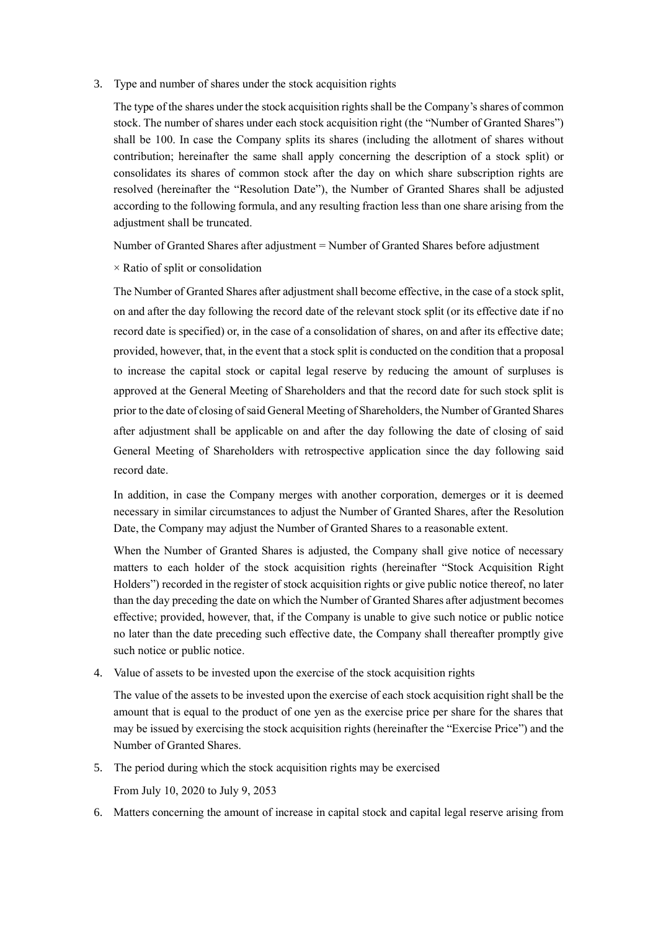3. Type and number of shares under the stock acquisition rights

The type of the shares under the stock acquisition rights shall be the Company's shares of common stock. The number of shares under each stock acquisition right (the "Number of Granted Shares") shall be 100. In case the Company splits its shares (including the allotment of shares without contribution; hereinafter the same shall apply concerning the description of a stock split) or consolidates its shares of common stock after the day on which share subscription rights are resolved (hereinafter the "Resolution Date"), the Number of Granted Shares shall be adjusted according to the following formula, and any resulting fraction less than one share arising from the adjustment shall be truncated.

Number of Granted Shares after adjustment = Number of Granted Shares before adjustment

× Ratio of split or consolidation

The Number of Granted Shares after adjustment shall become effective, in the case of a stock split, on and after the day following the record date of the relevant stock split (or its effective date if no record date is specified) or, in the case of a consolidation of shares, on and after its effective date; provided, however, that, in the event that a stock split is conducted on the condition that a proposal to increase the capital stock or capital legal reserve by reducing the amount of surpluses is approved at the General Meeting of Shareholders and that the record date for such stock split is prior to the date of closing of said General Meeting of Shareholders, the Number of Granted Shares after adjustment shall be applicable on and after the day following the date of closing of said General Meeting of Shareholders with retrospective application since the day following said record date.

In addition, in case the Company merges with another corporation, demerges or it is deemed necessary in similar circumstances to adjust the Number of Granted Shares, after the Resolution Date, the Company may adjust the Number of Granted Shares to a reasonable extent.

When the Number of Granted Shares is adjusted, the Company shall give notice of necessary matters to each holder of the stock acquisition rights (hereinafter "Stock Acquisition Right Holders") recorded in the register of stock acquisition rights or give public notice thereof, no later than the day preceding the date on which the Number of Granted Shares after adjustment becomes effective; provided, however, that, if the Company is unable to give such notice or public notice no later than the date preceding such effective date, the Company shall thereafter promptly give such notice or public notice.

4. Value of assets to be invested upon the exercise of the stock acquisition rights

The value of the assets to be invested upon the exercise of each stock acquisition right shall be the amount that is equal to the product of one yen as the exercise price per share for the shares that may be issued by exercising the stock acquisition rights (hereinafter the "Exercise Price") and the Number of Granted Shares.

- 5. The period during which the stock acquisition rights may be exercised From July 10, 2020 to July 9, 2053
- 6. Matters concerning the amount of increase in capital stock and capital legal reserve arising from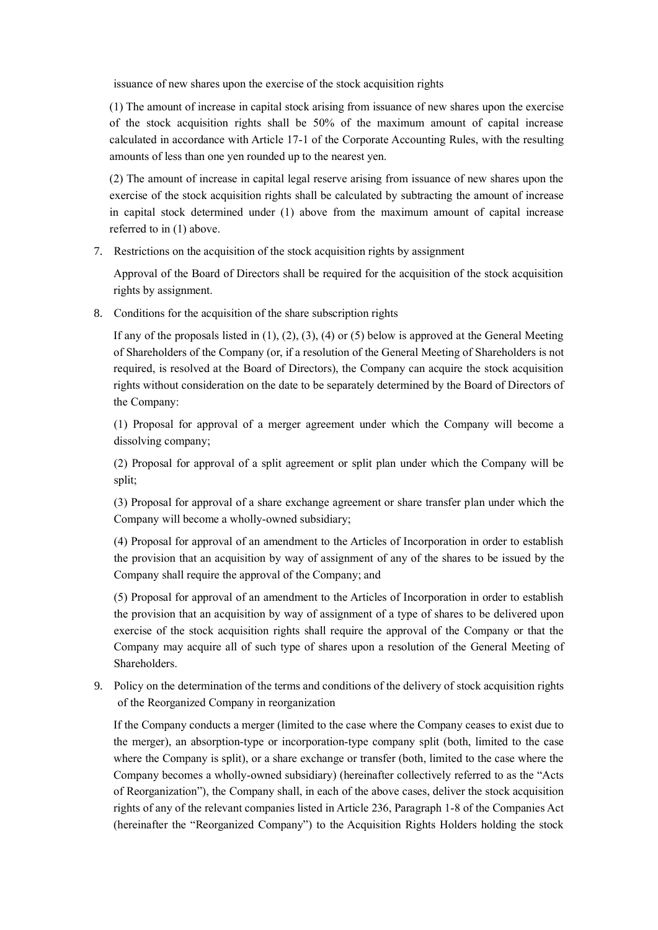issuance of new shares upon the exercise of the stock acquisition rights

(1) The amount of increase in capital stock arising from issuance of new shares upon the exercise of the stock acquisition rights shall be 50% of the maximum amount of capital increase calculated in accordance with Article 17-1 of the Corporate Accounting Rules, with the resulting amounts of less than one yen rounded up to the nearest yen.

(2) The amount of increase in capital legal reserve arising from issuance of new shares upon the exercise of the stock acquisition rights shall be calculated by subtracting the amount of increase in capital stock determined under (1) above from the maximum amount of capital increase referred to in (1) above.

7. Restrictions on the acquisition of the stock acquisition rights by assignment

Approval of the Board of Directors shall be required for the acquisition of the stock acquisition rights by assignment.

8. Conditions for the acquisition of the share subscription rights

If any of the proposals listed in  $(1)$ ,  $(2)$ ,  $(3)$ ,  $(4)$  or  $(5)$  below is approved at the General Meeting of Shareholders of the Company (or, if a resolution of the General Meeting of Shareholders is not required, is resolved at the Board of Directors), the Company can acquire the stock acquisition rights without consideration on the date to be separately determined by the Board of Directors of the Company:

(1) Proposal for approval of a merger agreement under which the Company will become a dissolving company;

(2) Proposal for approval of a split agreement or split plan under which the Company will be split;

(3) Proposal for approval of a share exchange agreement or share transfer plan under which the Company will become a wholly-owned subsidiary;

(4) Proposal for approval of an amendment to the Articles of Incorporation in order to establish the provision that an acquisition by way of assignment of any of the shares to be issued by the Company shall require the approval of the Company; and

(5) Proposal for approval of an amendment to the Articles of Incorporation in order to establish the provision that an acquisition by way of assignment of a type of shares to be delivered upon exercise of the stock acquisition rights shall require the approval of the Company or that the Company may acquire all of such type of shares upon a resolution of the General Meeting of Shareholders.

9. Policy on the determination of the terms and conditions of the delivery of stock acquisition rights of the Reorganized Company in reorganization

If the Company conducts a merger (limited to the case where the Company ceases to exist due to the merger), an absorption-type or incorporation-type company split (both, limited to the case where the Company is split), or a share exchange or transfer (both, limited to the case where the Company becomes a wholly-owned subsidiary) (hereinafter collectively referred to as the "Acts of Reorganization"), the Company shall, in each of the above cases, deliver the stock acquisition rights of any of the relevant companies listed in Article 236, Paragraph 1-8 of the Companies Act (hereinafter the "Reorganized Company") to the Acquisition Rights Holders holding the stock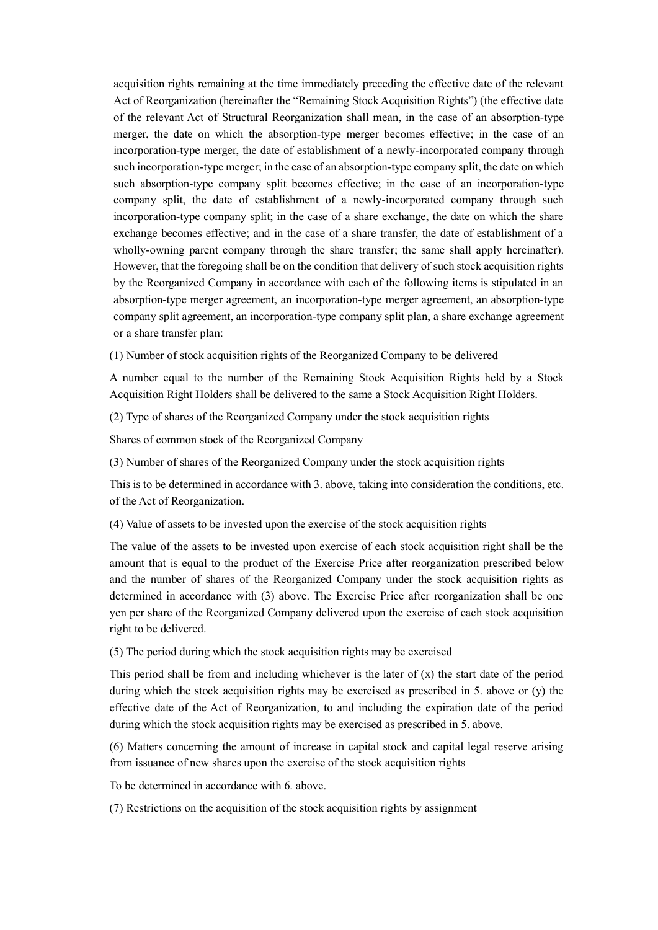acquisition rights remaining at the time immediately preceding the effective date of the relevant Act of Reorganization (hereinafter the "Remaining Stock Acquisition Rights") (the effective date of the relevant Act of Structural Reorganization shall mean, in the case of an absorption-type merger, the date on which the absorption-type merger becomes effective; in the case of an incorporation-type merger, the date of establishment of a newly-incorporated company through such incorporation-type merger; in the case of an absorption-type company split, the date on which such absorption-type company split becomes effective; in the case of an incorporation-type company split, the date of establishment of a newly-incorporated company through such incorporation-type company split; in the case of a share exchange, the date on which the share exchange becomes effective; and in the case of a share transfer, the date of establishment of a wholly-owning parent company through the share transfer; the same shall apply hereinafter). However, that the foregoing shall be on the condition that delivery of such stock acquisition rights by the Reorganized Company in accordance with each of the following items is stipulated in an absorption-type merger agreement, an incorporation-type merger agreement, an absorption-type company split agreement, an incorporation-type company split plan, a share exchange agreement or a share transfer plan:

(1) Number of stock acquisition rights of the Reorganized Company to be delivered

A number equal to the number of the Remaining Stock Acquisition Rights held by a Stock Acquisition Right Holders shall be delivered to the same a Stock Acquisition Right Holders.

(2) Type of shares of the Reorganized Company under the stock acquisition rights

Shares of common stock of the Reorganized Company

(3) Number of shares of the Reorganized Company under the stock acquisition rights

This is to be determined in accordance with 3. above, taking into consideration the conditions, etc. of the Act of Reorganization.

(4) Value of assets to be invested upon the exercise of the stock acquisition rights

The value of the assets to be invested upon exercise of each stock acquisition right shall be the amount that is equal to the product of the Exercise Price after reorganization prescribed below and the number of shares of the Reorganized Company under the stock acquisition rights as determined in accordance with (3) above. The Exercise Price after reorganization shall be one yen per share of the Reorganized Company delivered upon the exercise of each stock acquisition right to be delivered.

(5) The period during which the stock acquisition rights may be exercised

This period shall be from and including whichever is the later of  $(x)$  the start date of the period during which the stock acquisition rights may be exercised as prescribed in 5. above or (y) the effective date of the Act of Reorganization, to and including the expiration date of the period during which the stock acquisition rights may be exercised as prescribed in 5. above.

(6) Matters concerning the amount of increase in capital stock and capital legal reserve arising from issuance of new shares upon the exercise of the stock acquisition rights

To be determined in accordance with 6. above.

(7) Restrictions on the acquisition of the stock acquisition rights by assignment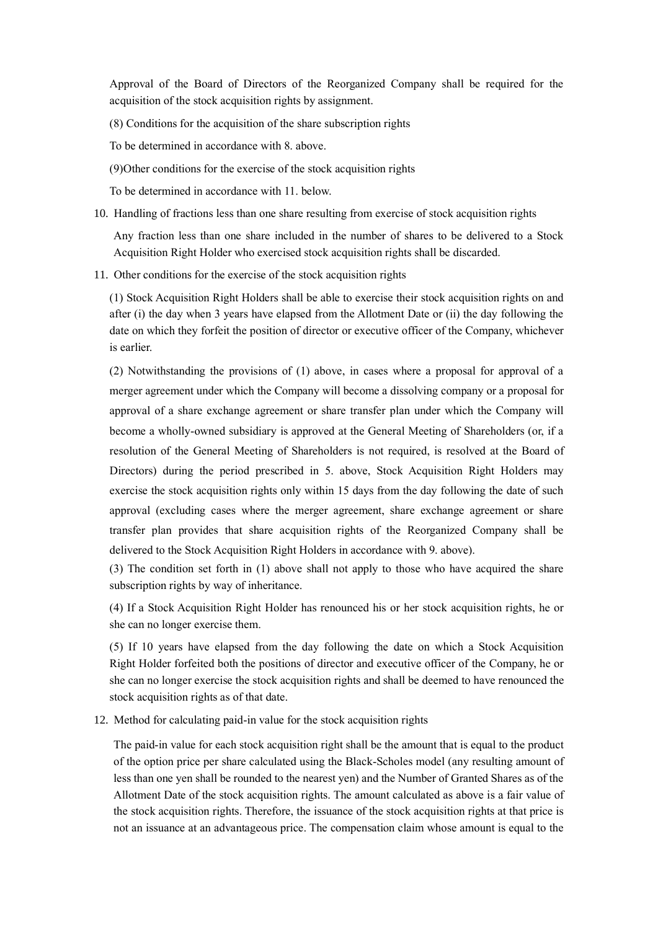Approval of the Board of Directors of the Reorganized Company shall be required for the acquisition of the stock acquisition rights by assignment.

(8) Conditions for the acquisition of the share subscription rights

To be determined in accordance with 8. above.

(9)Other conditions for the exercise of the stock acquisition rights

To be determined in accordance with 11. below.

10. Handling of fractions less than one share resulting from exercise of stock acquisition rights

Any fraction less than one share included in the number of shares to be delivered to a Stock Acquisition Right Holder who exercised stock acquisition rights shall be discarded.

11. Other conditions for the exercise of the stock acquisition rights

(1) Stock Acquisition Right Holders shall be able to exercise their stock acquisition rights on and after (i) the day when 3 years have elapsed from the Allotment Date or (ii) the day following the date on which they forfeit the position of director or executive officer of the Company, whichever is earlier.

(2) Notwithstanding the provisions of (1) above, in cases where a proposal for approval of a merger agreement under which the Company will become a dissolving company or a proposal for approval of a share exchange agreement or share transfer plan under which the Company will become a wholly-owned subsidiary is approved at the General Meeting of Shareholders (or, if a resolution of the General Meeting of Shareholders is not required, is resolved at the Board of Directors) during the period prescribed in 5. above, Stock Acquisition Right Holders may exercise the stock acquisition rights only within 15 days from the day following the date of such approval (excluding cases where the merger agreement, share exchange agreement or share transfer plan provides that share acquisition rights of the Reorganized Company shall be delivered to the Stock Acquisition Right Holders in accordance with 9. above).

(3) The condition set forth in (1) above shall not apply to those who have acquired the share subscription rights by way of inheritance.

(4) If a Stock Acquisition Right Holder has renounced his or her stock acquisition rights, he or she can no longer exercise them.

(5) If 10 years have elapsed from the day following the date on which a Stock Acquisition Right Holder forfeited both the positions of director and executive officer of the Company, he or she can no longer exercise the stock acquisition rights and shall be deemed to have renounced the stock acquisition rights as of that date.

12. Method for calculating paid-in value for the stock acquisition rights

The paid-in value for each stock acquisition right shall be the amount that is equal to the product of the option price per share calculated using the Black-Scholes model (any resulting amount of less than one yen shall be rounded to the nearest yen) and the Number of Granted Shares as of the Allotment Date of the stock acquisition rights. The amount calculated as above is a fair value of the stock acquisition rights. Therefore, the issuance of the stock acquisition rights at that price is not an issuance at an advantageous price. The compensation claim whose amount is equal to the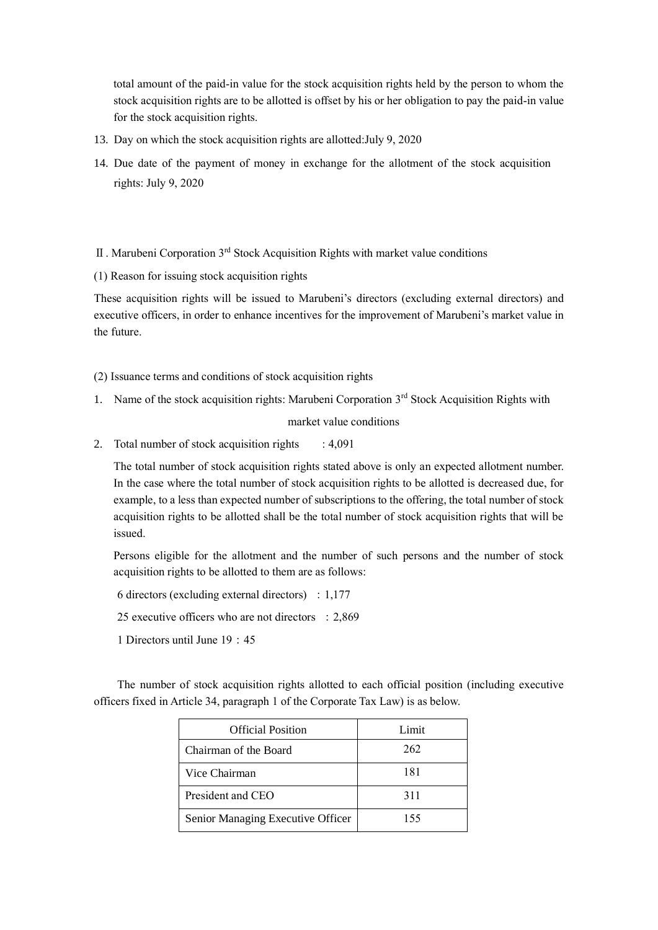total amount of the paid-in value for the stock acquisition rights held by the person to whom the stock acquisition rights are to be allotted is offset by his or her obligation to pay the paid-in value for the stock acquisition rights.

- 13. Day on which the stock acquisition rights are allotted:July 9, 2020
- 14. Due date of the payment of money in exchange for the allotment of the stock acquisition rights: July 9, 2020

II. Marubeni Corporation 3<sup>rd</sup> Stock Acquisition Rights with market value conditions

(1) Reason for issuing stock acquisition rights

These acquisition rights will be issued to Marubeni's directors (excluding external directors) and executive officers, in order to enhance incentives for the improvement of Marubeni's market value in the future.

(2) Issuance terms and conditions of stock acquisition rights

1. Name of the stock acquisition rights: Marubeni Corporation 3<sup>rd</sup> Stock Acquisition Rights with

market value conditions

2. Total number of stock acquisition rights  $: 4,091$ 

The total number of stock acquisition rights stated above is only an expected allotment number. In the case where the total number of stock acquisition rights to be allotted is decreased due, for example, to a less than expected number of subscriptions to the offering, the total number of stock acquisition rights to be allotted shall be the total number of stock acquisition rights that will be issued.

Persons eligible for the allotment and the number of such persons and the number of stock acquisition rights to be allotted to them are as follows:

6 directors (excluding external directors) :1,177

25 executive officers who are not directors : 2,869

1 Directors until June 19:45

The number of stock acquisition rights allotted to each official position (including executive officers fixed in Article 34, paragraph 1 of the Corporate Tax Law) is as below.

| <b>Official Position</b>          | Limit |
|-----------------------------------|-------|
| Chairman of the Board             | 262   |
| Vice Chairman                     | 181   |
| President and CEO                 | 311   |
| Senior Managing Executive Officer | 155   |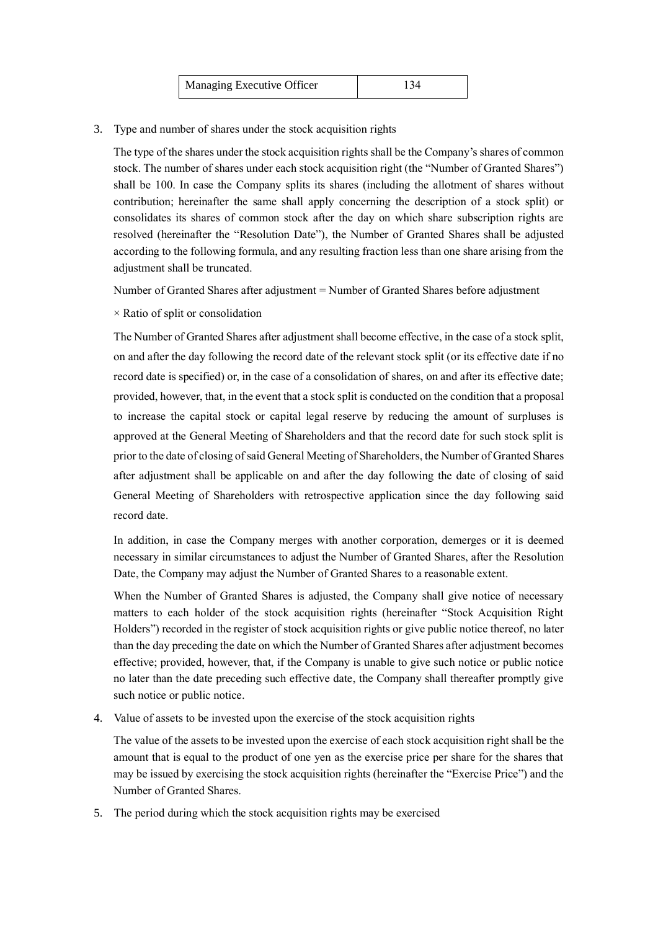| Managing Executive Officer |  |
|----------------------------|--|
|----------------------------|--|

#### 3. Type and number of shares under the stock acquisition rights

The type of the shares under the stock acquisition rights shall be the Company's shares of common stock. The number of shares under each stock acquisition right (the "Number of Granted Shares") shall be 100. In case the Company splits its shares (including the allotment of shares without contribution; hereinafter the same shall apply concerning the description of a stock split) or consolidates its shares of common stock after the day on which share subscription rights are resolved (hereinafter the "Resolution Date"), the Number of Granted Shares shall be adjusted according to the following formula, and any resulting fraction less than one share arising from the adjustment shall be truncated.

Number of Granted Shares after adjustment = Number of Granted Shares before adjustment

 $\times$  Ratio of split or consolidation

The Number of Granted Shares after adjustment shall become effective, in the case of a stock split, on and after the day following the record date of the relevant stock split (or its effective date if no record date is specified) or, in the case of a consolidation of shares, on and after its effective date; provided, however, that, in the event that a stock split is conducted on the condition that a proposal to increase the capital stock or capital legal reserve by reducing the amount of surpluses is approved at the General Meeting of Shareholders and that the record date for such stock split is prior to the date of closing of said General Meeting of Shareholders, the Number of Granted Shares after adjustment shall be applicable on and after the day following the date of closing of said General Meeting of Shareholders with retrospective application since the day following said record date.

In addition, in case the Company merges with another corporation, demerges or it is deemed necessary in similar circumstances to adjust the Number of Granted Shares, after the Resolution Date, the Company may adjust the Number of Granted Shares to a reasonable extent.

When the Number of Granted Shares is adjusted, the Company shall give notice of necessary matters to each holder of the stock acquisition rights (hereinafter "Stock Acquisition Right Holders") recorded in the register of stock acquisition rights or give public notice thereof, no later than the day preceding the date on which the Number of Granted Shares after adjustment becomes effective; provided, however, that, if the Company is unable to give such notice or public notice no later than the date preceding such effective date, the Company shall thereafter promptly give such notice or public notice.

4. Value of assets to be invested upon the exercise of the stock acquisition rights

The value of the assets to be invested upon the exercise of each stock acquisition right shall be the amount that is equal to the product of one yen as the exercise price per share for the shares that may be issued by exercising the stock acquisition rights (hereinafter the "Exercise Price") and the Number of Granted Shares.

5. The period during which the stock acquisition rights may be exercised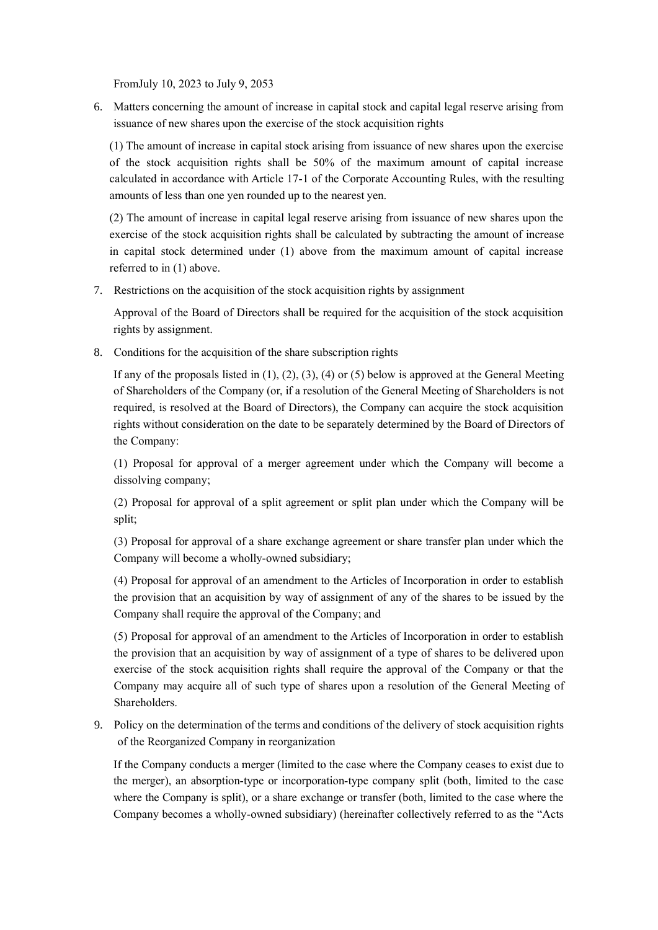FromJuly 10, 2023 to July 9, 2053

6. Matters concerning the amount of increase in capital stock and capital legal reserve arising from issuance of new shares upon the exercise of the stock acquisition rights

(1) The amount of increase in capital stock arising from issuance of new shares upon the exercise of the stock acquisition rights shall be 50% of the maximum amount of capital increase calculated in accordance with Article 17-1 of the Corporate Accounting Rules, with the resulting amounts of less than one yen rounded up to the nearest yen.

(2) The amount of increase in capital legal reserve arising from issuance of new shares upon the exercise of the stock acquisition rights shall be calculated by subtracting the amount of increase in capital stock determined under (1) above from the maximum amount of capital increase referred to in (1) above.

7. Restrictions on the acquisition of the stock acquisition rights by assignment

Approval of the Board of Directors shall be required for the acquisition of the stock acquisition rights by assignment.

8. Conditions for the acquisition of the share subscription rights

If any of the proposals listed in  $(1)$ ,  $(2)$ ,  $(3)$ ,  $(4)$  or  $(5)$  below is approved at the General Meeting of Shareholders of the Company (or, if a resolution of the General Meeting of Shareholders is not required, is resolved at the Board of Directors), the Company can acquire the stock acquisition rights without consideration on the date to be separately determined by the Board of Directors of the Company:

(1) Proposal for approval of a merger agreement under which the Company will become a dissolving company;

(2) Proposal for approval of a split agreement or split plan under which the Company will be split;

(3) Proposal for approval of a share exchange agreement or share transfer plan under which the Company will become a wholly-owned subsidiary;

(4) Proposal for approval of an amendment to the Articles of Incorporation in order to establish the provision that an acquisition by way of assignment of any of the shares to be issued by the Company shall require the approval of the Company; and

(5) Proposal for approval of an amendment to the Articles of Incorporation in order to establish the provision that an acquisition by way of assignment of a type of shares to be delivered upon exercise of the stock acquisition rights shall require the approval of the Company or that the Company may acquire all of such type of shares upon a resolution of the General Meeting of Shareholders.

9. Policy on the determination of the terms and conditions of the delivery of stock acquisition rights of the Reorganized Company in reorganization

If the Company conducts a merger (limited to the case where the Company ceases to exist due to the merger), an absorption-type or incorporation-type company split (both, limited to the case where the Company is split), or a share exchange or transfer (both, limited to the case where the Company becomes a wholly-owned subsidiary) (hereinafter collectively referred to as the "Acts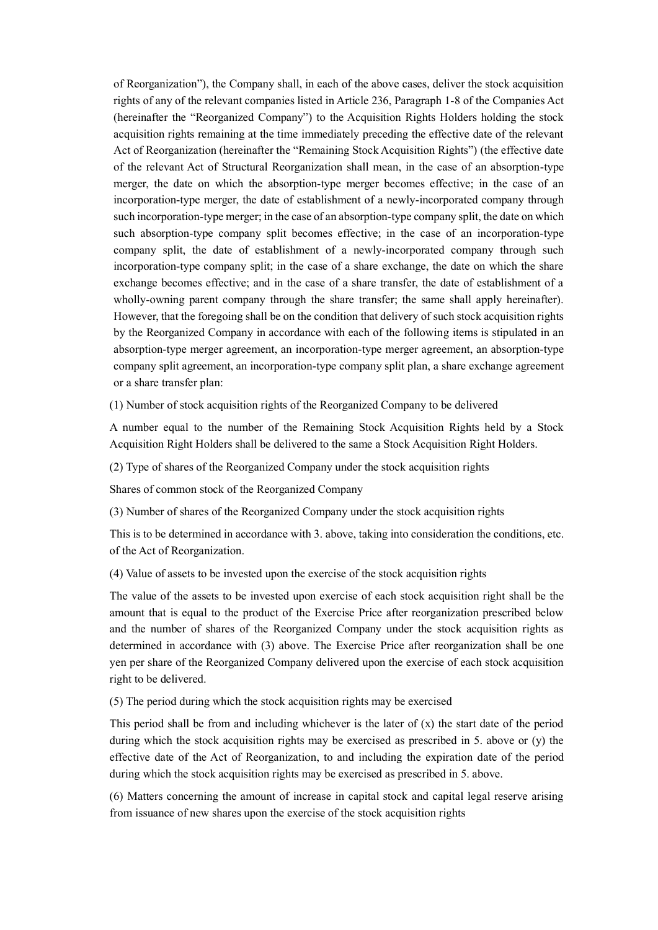of Reorganization"), the Company shall, in each of the above cases, deliver the stock acquisition rights of any of the relevant companies listed in Article 236, Paragraph 1-8 of the Companies Act (hereinafter the "Reorganized Company") to the Acquisition Rights Holders holding the stock acquisition rights remaining at the time immediately preceding the effective date of the relevant Act of Reorganization (hereinafter the "Remaining Stock Acquisition Rights") (the effective date of the relevant Act of Structural Reorganization shall mean, in the case of an absorption-type merger, the date on which the absorption-type merger becomes effective; in the case of an incorporation-type merger, the date of establishment of a newly-incorporated company through such incorporation-type merger; in the case of an absorption-type company split, the date on which such absorption-type company split becomes effective; in the case of an incorporation-type company split, the date of establishment of a newly-incorporated company through such incorporation-type company split; in the case of a share exchange, the date on which the share exchange becomes effective; and in the case of a share transfer, the date of establishment of a wholly-owning parent company through the share transfer; the same shall apply hereinafter). However, that the foregoing shall be on the condition that delivery of such stock acquisition rights by the Reorganized Company in accordance with each of the following items is stipulated in an absorption-type merger agreement, an incorporation-type merger agreement, an absorption-type company split agreement, an incorporation-type company split plan, a share exchange agreement or a share transfer plan:

(1) Number of stock acquisition rights of the Reorganized Company to be delivered

A number equal to the number of the Remaining Stock Acquisition Rights held by a Stock Acquisition Right Holders shall be delivered to the same a Stock Acquisition Right Holders.

(2) Type of shares of the Reorganized Company under the stock acquisition rights

Shares of common stock of the Reorganized Company

(3) Number of shares of the Reorganized Company under the stock acquisition rights

This is to be determined in accordance with 3. above, taking into consideration the conditions, etc. of the Act of Reorganization.

(4) Value of assets to be invested upon the exercise of the stock acquisition rights

The value of the assets to be invested upon exercise of each stock acquisition right shall be the amount that is equal to the product of the Exercise Price after reorganization prescribed below and the number of shares of the Reorganized Company under the stock acquisition rights as determined in accordance with (3) above. The Exercise Price after reorganization shall be one yen per share of the Reorganized Company delivered upon the exercise of each stock acquisition right to be delivered.

(5) The period during which the stock acquisition rights may be exercised

This period shall be from and including whichever is the later of  $(x)$  the start date of the period during which the stock acquisition rights may be exercised as prescribed in 5. above or (y) the effective date of the Act of Reorganization, to and including the expiration date of the period during which the stock acquisition rights may be exercised as prescribed in 5. above.

(6) Matters concerning the amount of increase in capital stock and capital legal reserve arising from issuance of new shares upon the exercise of the stock acquisition rights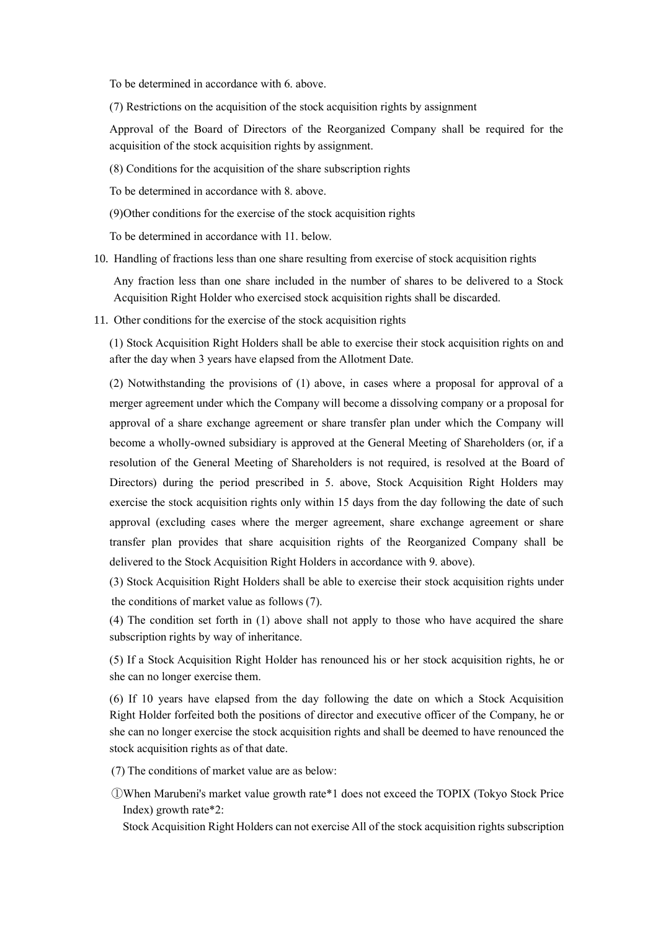To be determined in accordance with 6. above.

(7) Restrictions on the acquisition of the stock acquisition rights by assignment

Approval of the Board of Directors of the Reorganized Company shall be required for the acquisition of the stock acquisition rights by assignment.

(8) Conditions for the acquisition of the share subscription rights

To be determined in accordance with 8. above.

(9)Other conditions for the exercise of the stock acquisition rights

To be determined in accordance with 11. below.

10. Handling of fractions less than one share resulting from exercise of stock acquisition rights

Any fraction less than one share included in the number of shares to be delivered to a Stock Acquisition Right Holder who exercised stock acquisition rights shall be discarded.

11. Other conditions for the exercise of the stock acquisition rights

(1) Stock Acquisition Right Holders shall be able to exercise their stock acquisition rights on and after the day when 3 years have elapsed from the Allotment Date.

(2) Notwithstanding the provisions of (1) above, in cases where a proposal for approval of a merger agreement under which the Company will become a dissolving company or a proposal for approval of a share exchange agreement or share transfer plan under which the Company will become a wholly-owned subsidiary is approved at the General Meeting of Shareholders (or, if a resolution of the General Meeting of Shareholders is not required, is resolved at the Board of Directors) during the period prescribed in 5. above, Stock Acquisition Right Holders may exercise the stock acquisition rights only within 15 days from the day following the date of such approval (excluding cases where the merger agreement, share exchange agreement or share transfer plan provides that share acquisition rights of the Reorganized Company shall be delivered to the Stock Acquisition Right Holders in accordance with 9. above).

(3) Stock Acquisition Right Holders shall be able to exercise their stock acquisition rights under the conditions of market value as follows (7).

(4) The condition set forth in (1) above shall not apply to those who have acquired the share subscription rights by way of inheritance.

(5) If a Stock Acquisition Right Holder has renounced his or her stock acquisition rights, he or she can no longer exercise them.

(6) If 10 years have elapsed from the day following the date on which a Stock Acquisition Right Holder forfeited both the positions of director and executive officer of the Company, he or she can no longer exercise the stock acquisition rights and shall be deemed to have renounced the stock acquisition rights as of that date.

- (7) The conditions of market value are as below:
- ①When Marubeni's market value growth rate\*1 does not exceed the TOPIX (Tokyo Stock Price Index) growth rate\*2:

Stock Acquisition Right Holders can not exercise All of the stock acquisition rights subscription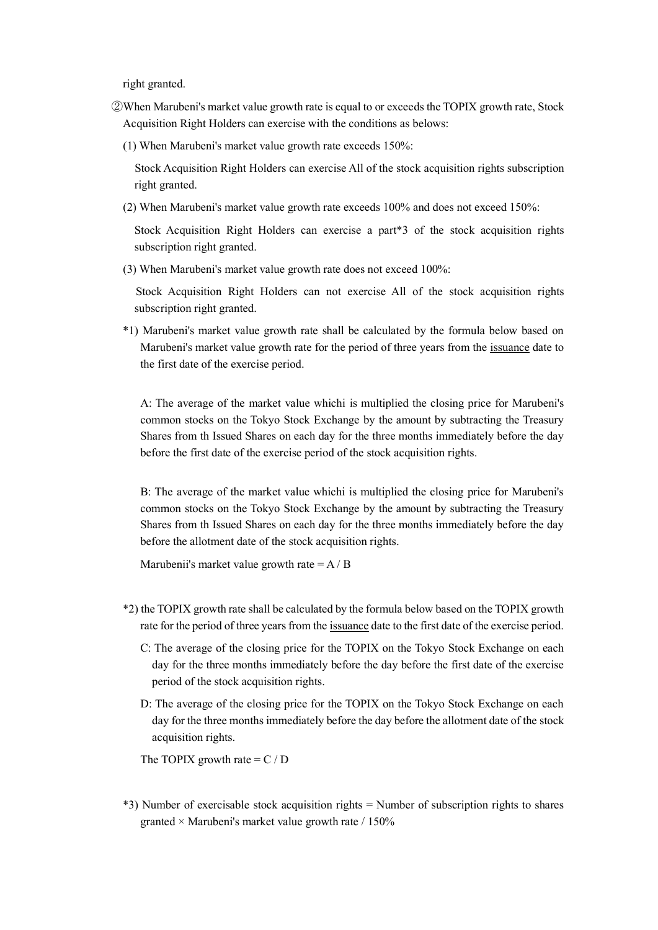right granted.

- ②When Marubeni's market value growth rate is equal to or exceeds the TOPIX growth rate, Stock Acquisition Right Holders can exercise with the conditions as belows:
	- (1) When Marubeni's market value growth rate exceeds 150%:

 Stock Acquisition Right Holders can exercise All of the stock acquisition rights subscription right granted.

(2) When Marubeni's market value growth rate exceeds 100% and does not exceed 150%:

 Stock Acquisition Right Holders can exercise a part\*3 of the stock acquisition rights subscription right granted.

(3) When Marubeni's market value growth rate does not exceed 100%:

 Stock Acquisition Right Holders can not exercise All of the stock acquisition rights subscription right granted.

\*1) Marubeni's market value growth rate shall be calculated by the formula below based on Marubeni's market value growth rate for the period of three years from the issuance date to the first date of the exercise period.

A: The average of the market value whichi is multiplied the closing price for Marubeni's common stocks on the Tokyo Stock Exchange by the amount by subtracting the Treasury Shares from th Issued Shares on each day for the three months immediately before the day before the first date of the exercise period of the stock acquisition rights.

B: The average of the market value whichi is multiplied the closing price for Marubeni's common stocks on the Tokyo Stock Exchange by the amount by subtracting the Treasury Shares from th Issued Shares on each day for the three months immediately before the day before the allotment date of the stock acquisition rights.

Marubenii's market value growth rate  $= A/B$ 

- \*2) the TOPIX growth rate shall be calculated by the formula below based on the TOPIX growth rate for the period of three years from the issuance date to the first date of the exercise period.
	- C: The average of the closing price for the TOPIX on the Tokyo Stock Exchange on each day for the three months immediately before the day before the first date of the exercise period of the stock acquisition rights.
	- D: The average of the closing price for the TOPIX on the Tokyo Stock Exchange on each day for the three months immediately before the day before the allotment date of the stock acquisition rights.

The TOPIX growth rate  $= C / D$ 

\*3) Number of exercisable stock acquisition rights = Number of subscription rights to shares granted  $\times$  Marubeni's market value growth rate / 150%